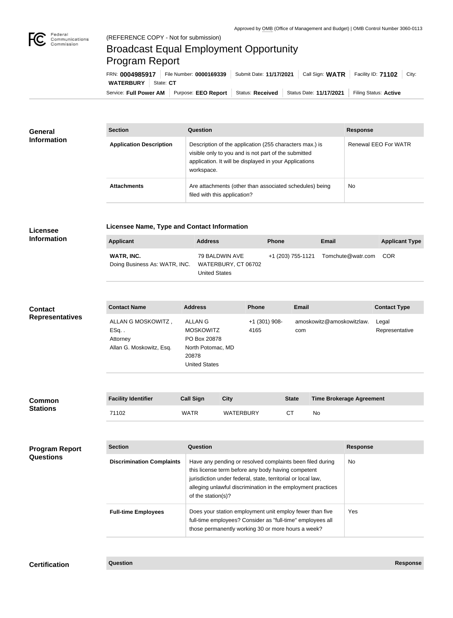

## Broadcast Equal Employment Opportunity Program Report

Service: Full Power AM | Purpose: EEO Report | Status: Received | Status Date: 11/17/2021 | Filing Status: Active **WATERBURY** State: CT FRN: **0004985917** File Number: **0000169339** Submit Date: **11/17/2021** Call Sign: **WATR** Facility ID: **71102** City:

| General<br><b>Information</b> | <b>Section</b>                 | Question                                                                                                                                                                                | <b>Response</b>      |  |
|-------------------------------|--------------------------------|-----------------------------------------------------------------------------------------------------------------------------------------------------------------------------------------|----------------------|--|
|                               | <b>Application Description</b> | Description of the application (255 characters max.) is<br>visible only to you and is not part of the submitted<br>application. It will be displayed in your Applications<br>workspace. | Renewal EEO For WATR |  |
|                               | <b>Attachments</b>             | Are attachments (other than associated schedules) being<br>filed with this application?                                                                                                 | <b>No</b>            |  |

| <b>Licensee</b>                           |                                                                   | Licensee Name, Type and Contact Information |                                                                                          |                                       |                       |              |                                                                                                                                                                                 |                                                              |                                 |                         |  |  |
|-------------------------------------------|-------------------------------------------------------------------|---------------------------------------------|------------------------------------------------------------------------------------------|---------------------------------------|-----------------------|--------------|---------------------------------------------------------------------------------------------------------------------------------------------------------------------------------|--------------------------------------------------------------|---------------------------------|-------------------------|--|--|
| <b>Information</b>                        | <b>Applicant</b>                                                  |                                             | <b>Address</b>                                                                           |                                       |                       | <b>Phone</b> |                                                                                                                                                                                 | <b>Email</b>                                                 |                                 | <b>Applicant Type</b>   |  |  |
|                                           | WATR, INC.<br>Doing Business As: WATR, INC.                       |                                             | <b>United States</b>                                                                     | 79 BALDWIN AVE<br>WATERBURY, CT 06702 |                       |              | +1 (203) 755-1121                                                                                                                                                               |                                                              | Tomchute@watr.com               | <b>COR</b>              |  |  |
|                                           |                                                                   |                                             |                                                                                          |                                       |                       |              |                                                                                                                                                                                 |                                                              |                                 |                         |  |  |
| <b>Contact</b>                            | <b>Contact Name</b>                                               |                                             | <b>Address</b>                                                                           |                                       | <b>Phone</b>          |              | <b>Email</b>                                                                                                                                                                    |                                                              |                                 | <b>Contact Type</b>     |  |  |
| <b>Representatives</b>                    | ALLAN G MOSKOWITZ,<br>ESq<br>Attorney<br>Allan G. Moskowitz, Esq. | 20878                                       | ALLAN G<br><b>MOSKOWITZ</b><br>PO Box 20878<br>North Potomac, MD<br><b>United States</b> |                                       | +1 (301) 908-<br>4165 |              | com                                                                                                                                                                             | amoskowitz@amoskowitzlaw.                                    |                                 | Legal<br>Representative |  |  |
| <b>Common</b><br><b>Stations</b>          | <b>Facility Identifier</b>                                        | <b>Call Sign</b>                            |                                                                                          | <b>City</b>                           |                       |              | <b>State</b>                                                                                                                                                                    |                                                              | <b>Time Brokerage Agreement</b> |                         |  |  |
|                                           | 71102                                                             | <b>WATR</b>                                 |                                                                                          | <b>WATERBURY</b>                      |                       |              | <b>CT</b>                                                                                                                                                                       | No                                                           |                                 |                         |  |  |
|                                           |                                                                   |                                             |                                                                                          |                                       |                       |              |                                                                                                                                                                                 |                                                              |                                 |                         |  |  |
| <b>Program Report</b><br><b>Questions</b> | <b>Section</b>                                                    |                                             | Question                                                                                 |                                       |                       |              |                                                                                                                                                                                 |                                                              | <b>Response</b>                 |                         |  |  |
|                                           | <b>Discrimination Complaints</b>                                  |                                             | of the station(s)?                                                                       |                                       |                       |              | Have any pending or resolved complaints been filed during<br>this license term before any body having competent<br>jurisdiction under federal, state, territorial or local law, | alleging unlawful discrimination in the employment practices | No.                             |                         |  |  |
|                                           | <b>Full-time Employees</b>                                        |                                             | Does your station employment unit employ fewer than five                                 |                                       |                       |              |                                                                                                                                                                                 | Yes                                                          |                                 |                         |  |  |

full-time employees? Consider as "full-time" employees all those permanently working 30 or more hours a week?

**Certification Question Response**